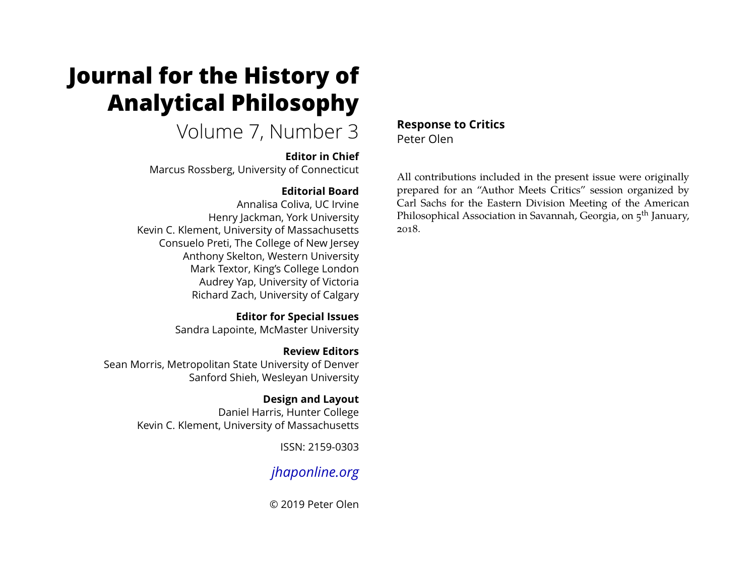# **Journal for the History of Analytical Philosophy**

Volume 7, Number 3

### **Editor in Chief**

Marcus Rossberg, University of Connecticut

## **Editorial Board**

Annalisa Coliva, UC Irvine Henry Jackman, York University Kevin C. Klement, University of Massachusetts Consuelo Preti, The College of New Jersey Anthony Skelton, Western University Mark Textor, King's College London Audrey Yap, University of Victoria Richard Zach, University of Calgary

> **Editor for Special Issues** Sandra Lapointe, McMaster University

**Review Editors** Sean Morris, Metropolitan State University of Denver Sanford Shieh, Wesleyan University

> **Design and Layout** Daniel Harris, Hunter College Kevin C. Klement, University of Massachusetts

> > ISSN: 2159-0303

# *[jhaponline.org](https://jhaponline.org)*

© 2019 Peter Olen

**Response to Critics** Peter Olen

All contributions included in the present issue were originally prepared for an "Author Meets Critics" session organized by Carl Sachs for the Eastern Division Meeting of the American Philosophical Association in Savannah, Georgia, on 5<sup>th</sup> January, 2018.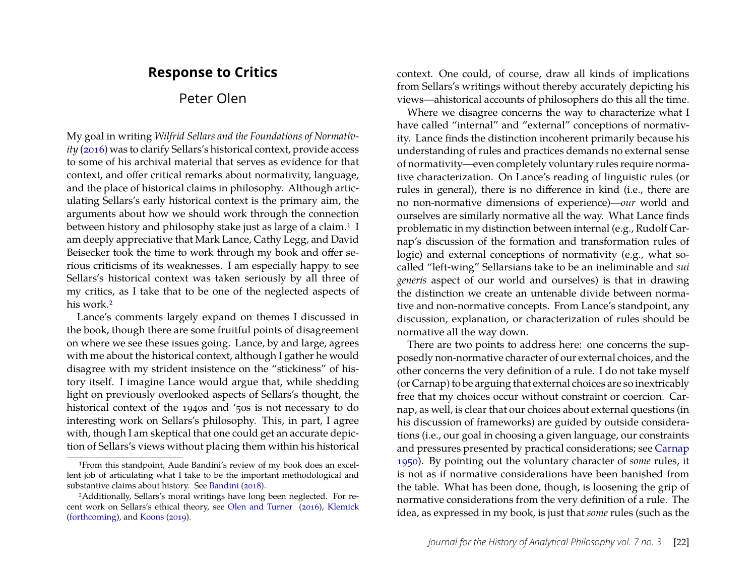### **Response to Critics**

### Peter Olen

My goal in writing *Wilfrid Sellars and the Foundations of Normativity* [\(2016\)](#page-6-0) was to clarify Sellars's historical context, provide access to some of his archival material that serves as evidence for that context, and offer critical remarks about normativity, language, and the place of historical claims in philosophy. Although articulating Sellars's early historical context is the primary aim, the arguments about how we should work through the connection between history and philosophy stake just as large of a claim.<sup>[1](#page-1-0)</sup> I am deeply appreciative that Mark Lance, Cathy Legg, and David Beisecker took the time to work through my book and offer serious criticisms of its weaknesses. I am especially happy to see Sellars's historical context was taken seriously by all three of my critics, as I take that to be one of the neglected aspects of his work.[2](#page-1-1)

Lance's comments largely expand on themes I discussed in the book, though there are some fruitful points of disagreement on where we see these issues going. Lance, by and large, agrees with me about the historical context, although I gather he would disagree with my strident insistence on the "stickiness" of history itself. I imagine Lance would argue that, while shedding light on previously overlooked aspects of Sellars's thought, the historical context of the 1940s and '50s is not necessary to do interesting work on Sellars's philosophy. This, in part, I agree with, though I am skeptical that one could get an accurate depiction of Sellars's views without placing them within his historical context. One could, of course, draw all kinds of implications from Sellars's writings without thereby accurately depicting his views—ahistorical accounts of philosophers do this all the time.

Where we disagree concerns the way to characterize what I have called "internal" and "external" conceptions of normativity. Lance finds the distinction incoherent primarily because his understanding of rules and practices demands no external sense of normativity—even completely voluntary rules require normative characterization. On Lance's reading of linguistic rules (or rules in general), there is no difference in kind (i.e., there are no non-normative dimensions of experience)—*our* world and ourselves are similarly normative all the way. What Lance finds problematic in my distinction between internal (e.g., Rudolf Carnap's discussion of the formation and transformation rules of logic) and external conceptions of normativity (e.g., what socalled "left-wing" Sellarsians take to be an ineliminable and *sui generis* aspect of our world and ourselves) is that in drawing the distinction we create an untenable divide between normative and non-normative concepts. From Lance's standpoint, any discussion, explanation, or characterization of rules should be normative all the way down.

There are two points to address here: one concerns the supposedly non-normative character of our external choices, and the other concerns the very definition of a rule. I do not take myself (or Carnap) to be arguing that external choices are so inextricably free that my choices occur without constraint or coercion. Carnap, as well, is clear that our choices about external questions (in his discussion of frameworks) are guided by outside considerations (i.e., our goal in choosing a given language, our constraints and pressures presented by practical considerations; see [Carnap](#page-5-1) [1950\)](#page-5-1). By pointing out the voluntary character of *some* rules, it is not as if normative considerations have been banished from the table. What has been done, though, is loosening the grip of normative considerations from the very definition of a rule. The idea, as expressed in my book, is just that *some* rules (such as the

<span id="page-1-0"></span><sup>1</sup>From this standpoint, Aude Bandini's review of my book does an excellent job of articulating what I take to be the important methodological and substantive claims about history. See [Bandini](#page-5-0) [\(2018\)](#page-5-0).

<span id="page-1-1"></span><sup>2</sup>Additionally, Sellars's moral writings have long been neglected. For recent work on Sellars's ethical theory, see [Olen and Turner](#page-6-1) [\(2016\)](#page-6-1), [Klemick](#page-6-2) [\(forthcoming\)](#page-6-2), and [Koons](#page-6-3) [\(2019\)](#page-6-3).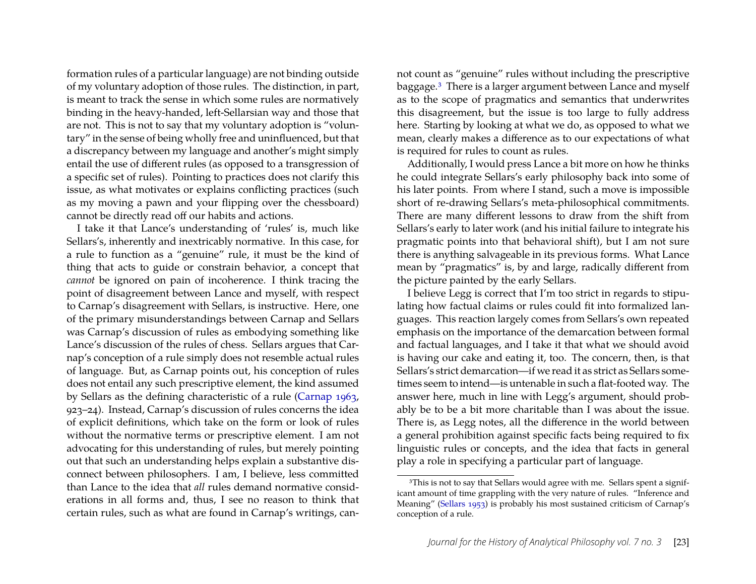formation rules of a particular language) are not binding outside of my voluntary adoption of those rules. The distinction, in part, is meant to track the sense in which some rules are normatively binding in the heavy-handed, left-Sellarsian way and those that are not. This is not to say that my voluntary adoption is "voluntary" in the sense of being wholly free and uninfluenced, but that a discrepancy between my language and another's might simply entail the use of different rules (as opposed to a transgression of a specific set of rules). Pointing to practices does not clarify this issue, as what motivates or explains conflicting practices (such as my moving a pawn and your flipping over the chessboard) cannot be directly read off our habits and actions.

I take it that Lance's understanding of 'rules' is, much like Sellars's, inherently and inextricably normative. In this case, for a rule to function as a "genuine" rule, it must be the kind of thing that acts to guide or constrain behavior, a concept that *cannot* be ignored on pain of incoherence. I think tracing the point of disagreement between Lance and myself, with respect to Carnap's disagreement with Sellars, is instructive. Here, one of the primary misunderstandings between Carnap and Sellars was Carnap's discussion of rules as embodying something like Lance's discussion of the rules of chess. Sellars argues that Carnap's conception of a rule simply does not resemble actual rules of language. But, as Carnap points out, his conception of rules does not entail any such prescriptive element, the kind assumed by Sellars as the defining characteristic of a rule [\(Carnap 1963,](#page-5-2) 923–24). Instead, Carnap's discussion of rules concerns the idea of explicit definitions, which take on the form or look of rules without the normative terms or prescriptive element. I am not advocating for this understanding of rules, but merely pointing out that such an understanding helps explain a substantive disconnect between philosophers. I am, I believe, less committed than Lance to the idea that *all* rules demand normative considerations in all forms and, thus, I see no reason to think that certain rules, such as what are found in Carnap's writings, can-

not count as "genuine" rules without including the prescriptive baggage.[3](#page-2-0) There is a larger argument between Lance and myself as to the scope of pragmatics and semantics that underwrites this disagreement, but the issue is too large to fully address here. Starting by looking at what we do, as opposed to what we mean, clearly makes a difference as to our expectations of what is required for rules to count as rules.

Additionally, I would press Lance a bit more on how he thinks he could integrate Sellars's early philosophy back into some of his later points. From where I stand, such a move is impossible short of re-drawing Sellars's meta-philosophical commitments. There are many different lessons to draw from the shift from Sellars's early to later work (and his initial failure to integrate his pragmatic points into that behavioral shift), but I am not sure there is anything salvageable in its previous forms. What Lance mean by "pragmatics" is, by and large, radically different from the picture painted by the early Sellars.

I believe Legg is correct that I'm too strict in regards to stipulating how factual claims or rules could fit into formalized languages. This reaction largely comes from Sellars's own repeated emphasis on the importance of the demarcation between formal and factual languages, and I take it that what we should avoid is having our cake and eating it, too. The concern, then, is that Sellars's strict demarcation—if we read it as strict as Sellars sometimes seem to intend—is untenable in such a flat-footed way. The answer here, much in line with Legg's argument, should probably be to be a bit more charitable than I was about the issue. There is, as Legg notes, all the difference in the world between a general prohibition against specific facts being required to fix linguistic rules or concepts, and the idea that facts in general play a role in specifying a particular part of language.

<span id="page-2-0"></span><sup>&</sup>lt;sup>3</sup>This is not to say that Sellars would agree with me. Sellars spent a significant amount of time grappling with the very nature of rules. "Inference and Meaning" [\(Sellars 1953\)](#page-6-4) is probably his most sustained criticism of Carnap's conception of a rule.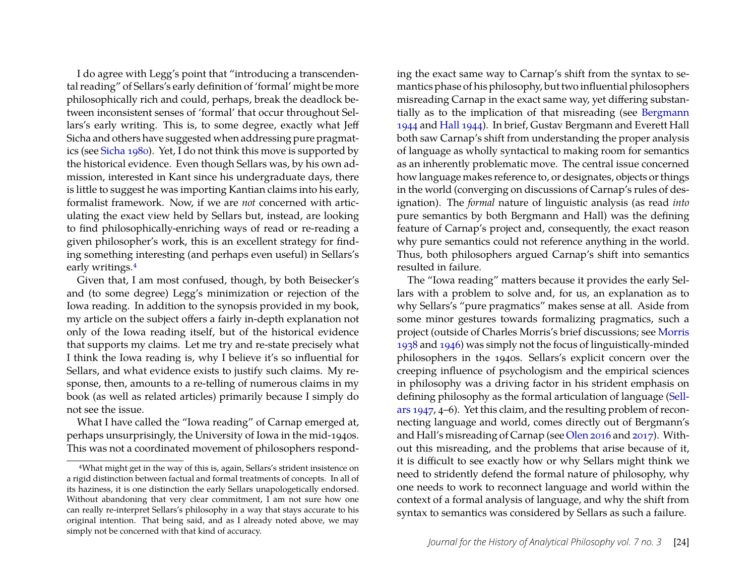I do agree with Legg's point that "introducing a transcendental reading" of Sellars's early definition of 'formal' might be more philosophically rich and could, perhaps, break the deadlock between inconsistent senses of 'formal' that occur throughout Sellars's early writing. This is, to some degree, exactly what Jeff Sicha and others have suggested when addressing pure pragmatics (see [Sicha 1980\)](#page-6-5). Yet, I do not think this move is supported by the historical evidence. Even though Sellars was, by his own admission, interested in Kant since his undergraduate days, there is little to suggest he was importing Kantian claims into his early, formalist framework. Now, if we are *not* concerned with articulating the exact view held by Sellars but, instead, are looking to find philosophically-enriching ways of read or re-reading a given philosopher's work, this is an excellent strategy for finding something interesting (and perhaps even useful) in Sellars's early writings.<sup>[4](#page-3-0)</sup>

Given that, I am most confused, though, by both Beisecker's and (to some degree) Legg's minimization or rejection of the Iowa reading. In addition to the synopsis provided in my book, my article on the subject offers a fairly in-depth explanation not only of the Iowa reading itself, but of the historical evidence that supports my claims. Let me try and re-state precisely what I think the Iowa reading is, why I believe it's so influential for Sellars, and what evidence exists to justify such claims. My response, then, amounts to a re-telling of numerous claims in my book (as well as related articles) primarily because I simply do not see the issue.

What I have called the "Iowa reading" of Carnap emerged at, perhaps unsurprisingly, the University of Iowa in the mid-1940s. This was not a coordinated movement of philosophers respond-

ing the exact same way to Carnap's shift from the syntax to semantics phase of his philosophy, but two influential philosophers misreading Carnap in the exact same way, yet differing substantially as to the implication of that misreading (see [Bergmann](#page-5-3) [1944](#page-5-3) and [Hall 1944\)](#page-6-6). In brief, Gustav Bergmann and Everett Hall both saw Carnap's shift from understanding the proper analysis of language as wholly syntactical to making room for semantics as an inherently problematic move. The central issue concerned how language makes reference to, or designates, objects or things in the world (converging on discussions of Carnap's rules of designation). The *formal* nature of linguistic analysis (as read *into* pure semantics by both Bergmann and Hall) was the defining feature of Carnap's project and, consequently, the exact reason why pure semantics could not reference anything in the world. Thus, both philosophers argued Carnap's shift into semantics resulted in failure.

The "Iowa reading" matters because it provides the early Sellars with a problem to solve and, for us, an explanation as to why Sellars's "pure pragmatics" makes sense at all. Aside from some minor gestures towards formalizing pragmatics, such a project (outside of Charles Morris's brief discussions; see [Morris](#page-6-7) [1938](#page-6-7) and [1946\)](#page-6-8) was simply not the focus of linguistically-minded philosophers in the 1940s. Sellars's explicit concern over the creeping influence of psychologism and the empirical sciences in philosophy was a driving factor in his strident emphasis on defining philosophy as the formal articulation of language [\(Sell](#page-6-9)[ars 1947,](#page-6-9) 4–6). Yet this claim, and the resulting problem of reconnecting language and world, comes directly out of Bergmann's and Hall's misreading of Carnap (see [Olen 2016](#page-6-0) and [2017\)](#page-6-10). Without this misreading, and the problems that arise because of it, it is difficult to see exactly how or why Sellars might think we need to stridently defend the formal nature of philosophy, why one needs to work to reconnect language and world within the context of a formal analysis of language, and why the shift from syntax to semantics was considered by Sellars as such a failure.

<span id="page-3-0"></span><sup>4</sup>What might get in the way of this is, again, Sellars's strident insistence on a rigid distinction between factual and formal treatments of concepts. In all of its haziness, it is one distinction the early Sellars unapologetically endorsed. Without abandoning that very clear commitment, I am not sure how one can really re-interpret Sellars's philosophy in a way that stays accurate to his original intention. That being said, and as I already noted above, we may simply not be concerned with that kind of accuracy.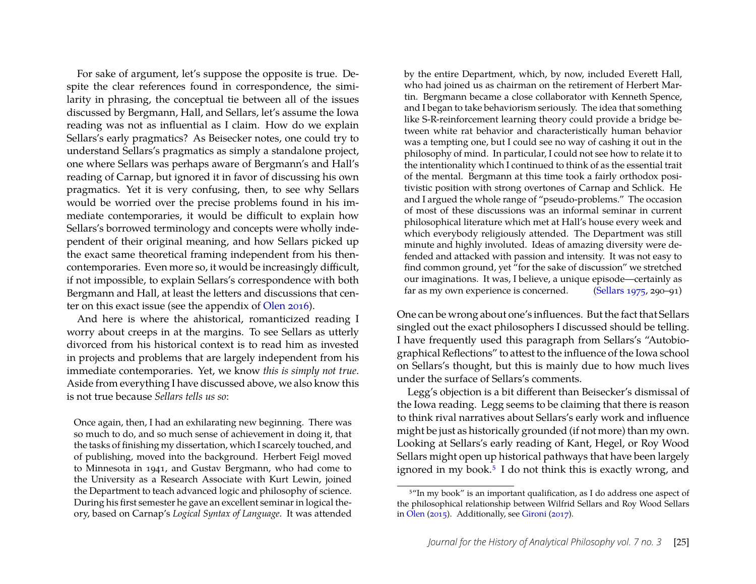For sake of argument, let's suppose the opposite is true. Despite the clear references found in correspondence, the similarity in phrasing, the conceptual tie between all of the issues discussed by Bergmann, Hall, and Sellars, let's assume the Iowa reading was not as influential as I claim. How do we explain Sellars's early pragmatics? As Beisecker notes, one could try to understand Sellars's pragmatics as simply a standalone project, one where Sellars was perhaps aware of Bergmann's and Hall's reading of Carnap, but ignored it in favor of discussing his own pragmatics. Yet it is very confusing, then, to see why Sellars would be worried over the precise problems found in his immediate contemporaries, it would be difficult to explain how Sellars's borrowed terminology and concepts were wholly independent of their original meaning, and how Sellars picked up the exact same theoretical framing independent from his thencontemporaries. Even more so, it would be increasingly difficult, if not impossible, to explain Sellars's correspondence with both Bergmann and Hall, at least the letters and discussions that center on this exact issue (see the appendix of [Olen 2016\)](#page-6-0).

And here is where the ahistorical, romanticized reading I worry about creeps in at the margins. To see Sellars as utterly divorced from his historical context is to read him as invested in projects and problems that are largely independent from his immediate contemporaries. Yet, we know *this is simply not true*. Aside from everything I have discussed above, we also know this is not true because *Sellars tells us so*:

Once again, then, I had an exhilarating new beginning. There was so much to do, and so much sense of achievement in doing it, that the tasks of finishing my dissertation, which I scarcely touched, and of publishing, moved into the background. Herbert Feigl moved to Minnesota in 1941, and Gustav Bergmann, who had come to the University as a Research Associate with Kurt Lewin, joined the Department to teach advanced logic and philosophy of science. During his first semester he gave an excellent seminar in logical theory, based on Carnap's *Logical Syntax of Language*. It was attended

by the entire Department, which, by now, included Everett Hall, who had joined us as chairman on the retirement of Herbert Martin. Bergmann became a close collaborator with Kenneth Spence, and I began to take behaviorism seriously. The idea that something like S-R-reinforcement learning theory could provide a bridge between white rat behavior and characteristically human behavior was a tempting one, but I could see no way of cashing it out in the philosophy of mind. In particular, I could not see how to relate it to the intentionality which I continued to think of as the essential trait of the mental. Bergmann at this time took a fairly orthodox positivistic position with strong overtones of Carnap and Schlick. He and I argued the whole range of "pseudo-problems." The occasion of most of these discussions was an informal seminar in current philosophical literature which met at Hall's house every week and which everybody religiously attended. The Department was still minute and highly involuted. Ideas of amazing diversity were defended and attacked with passion and intensity. It was not easy to find common ground, yet "for the sake of discussion" we stretched our imaginations. It was, I believe, a unique episode—certainly as far as my own experience is concerned. [\(Sellars 1975,](#page-6-11) 290–91)

One can be wrong about one's influences. But the fact that Sellars singled out the exact philosophers I discussed should be telling. I have frequently used this paragraph from Sellars's "Autobiographical Reflections" to attest to the influence of the Iowa school on Sellars's thought, but this is mainly due to how much lives under the surface of Sellars's comments.

Legg's objection is a bit different than Beisecker's dismissal of the Iowa reading. Legg seems to be claiming that there is reason to think rival narratives about Sellars's early work and influence might be just as historically grounded (if not more) than my own. Looking at Sellars's early reading of Kant, Hegel, or Roy Wood Sellars might open up historical pathways that have been largely ignored in my book.<sup>[5](#page-4-0)</sup> I do not think this is exactly wrong, and

<span id="page-4-0"></span><sup>5</sup>"In my book" is an important qualification, as I do address one aspect of the philosophical relationship between Wilfrid Sellars and Roy Wood Sellars in [Olen](#page-6-12) [\(2015\)](#page-6-12). Additionally, see [Gironi](#page-6-13) [\(2017\)](#page-6-13).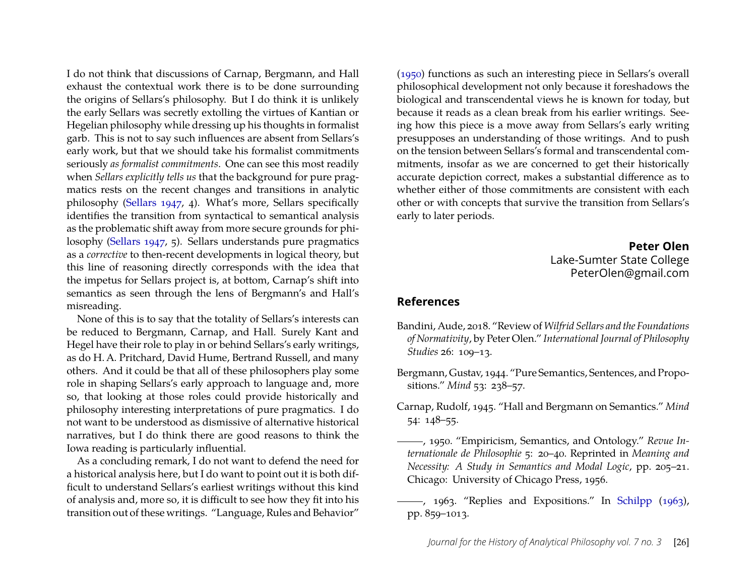I do not think that discussions of Carnap, Bergmann, and Hall exhaust the contextual work there is to be done surrounding the origins of Sellars's philosophy. But I do think it is unlikely the early Sellars was secretly extolling the virtues of Kantian or Hegelian philosophy while dressing up his thoughts in formalist garb. This is not to say such influences are absent from Sellars's early work, but that we should take his formalist commitments seriously *as formalist commitments*. One can see this most readily when *Sellars explicitly tells us* that the background for pure pragmatics rests on the recent changes and transitions in analytic philosophy [\(Sellars 1947,](#page-6-9) 4). What's more, Sellars specifically identifies the transition from syntactical to semantical analysis as the problematic shift away from more secure grounds for philosophy [\(Sellars 1947,](#page-6-9) 5). Sellars understands pure pragmatics as a *corrective* to then-recent developments in logical theory, but this line of reasoning directly corresponds with the idea that the impetus for Sellars project is, at bottom, Carnap's shift into semantics as seen through the lens of Bergmann's and Hall's misreading.

None of this is to say that the totality of Sellars's interests can be reduced to Bergmann, Carnap, and Hall. Surely Kant and Hegel have their role to play in or behind Sellars's early writings, as do H. A. Pritchard, David Hume, Bertrand Russell, and many others. And it could be that all of these philosophers play some role in shaping Sellars's early approach to language and, more so, that looking at those roles could provide historically and philosophy interesting interpretations of pure pragmatics. I do not want to be understood as dismissive of alternative historical narratives, but I do think there are good reasons to think the Iowa reading is particularly influential.

As a concluding remark, I do not want to defend the need for a historical analysis here, but I do want to point out it is both difficult to understand Sellars's earliest writings without this kind of analysis and, more so, it is difficult to see how they fit into his transition out of these writings. "Language, Rules and Behavior"

[\(1950\)](#page-6-14) functions as such an interesting piece in Sellars's overall philosophical development not only because it foreshadows the biological and transcendental views he is known for today, but because it reads as a clean break from his earlier writings. Seeing how this piece is a move away from Sellars's early writing presupposes an understanding of those writings. And to push on the tension between Sellars's formal and transcendental commitments, insofar as we are concerned to get their historically accurate depiction correct, makes a substantial difference as to whether either of those commitments are consistent with each other or with concepts that survive the transition from Sellars's early to later periods.

> **Peter Olen** Lake-Sumter State College PeterOlen@gmail.com

#### **References**

- <span id="page-5-0"></span>Bandini, Aude, 2018. "Review of*Wilfrid Sellars and the Foundations of Normativity*, by Peter Olen." *International Journal of Philosophy Studies* 26: 109–13.
- <span id="page-5-3"></span>Bergmann, Gustav, 1944. "Pure Semantics, Sentences, and Propositions." *Mind* 53: 238–57.
- Carnap, Rudolf, 1945. "Hall and Bergmann on Semantics." *Mind* 54: 148–55.
- <span id="page-5-1"></span>, 1950. "Empiricism, Semantics, and Ontology." *Revue Internationale de Philosophie* 5: 20–40. Reprinted in *Meaning and Necessity: A Study in Semantics and Modal Logic*, pp. 205–21. Chicago: University of Chicago Press, 1956.

<span id="page-5-2"></span>, 1963. "Replies and Expositions." In [Schilpp](#page-6-15) [\(1963\)](#page-6-15), pp. 859–1013.